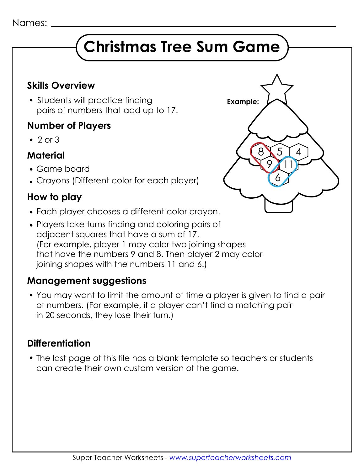# **Christmas Tree Sum Game**

#### **Skills Overview**

• Students will practice finding pairs of numbers that add up to 17.

#### **Number of Players**

 $\cdot$  2 or 3

#### **Material**

- Game board
- Crayons (Different color for each player)

#### **How to play**

- Each player chooses a different color crayon.
- Players take turns finding and coloring pairs of adjacent squares that have a sum of 17. (For example, player 1 may color two joining shapes that have the numbers 9 and 8. Then player 2 may color joining shapes with the numbers 11 and 6.)

### **Management suggestions**

 You may want to limit the amount of time a player is given to find a pair of numbers. (For example, if a player can't find a matching pair in 20 seconds, they lose their turn.)

#### **Differentiation**

 The last page of this file has a blank template so teachers or students can create their own custom version of the game.

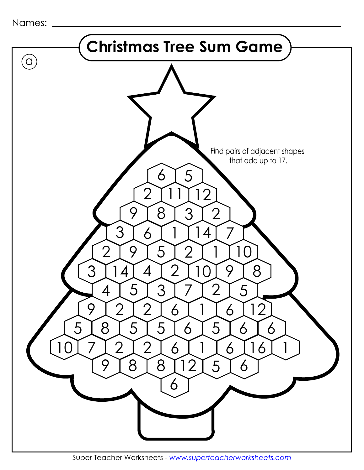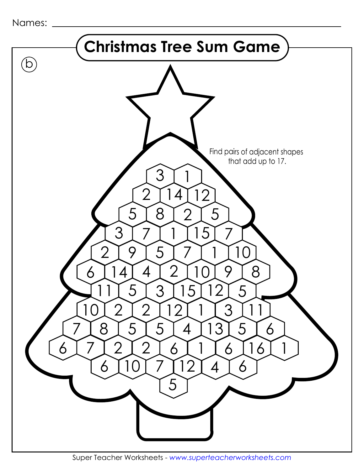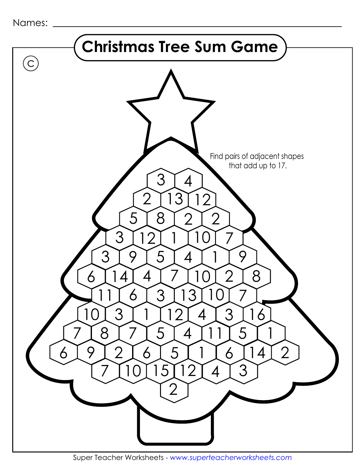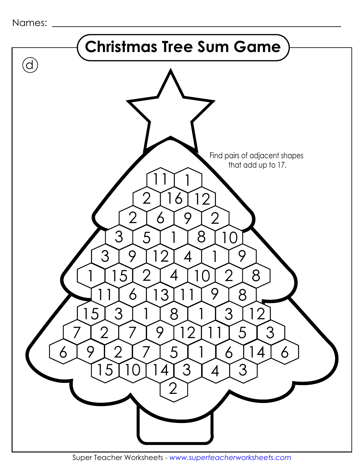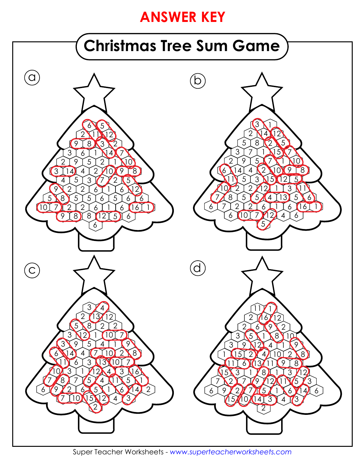## **ANSWER KEY**